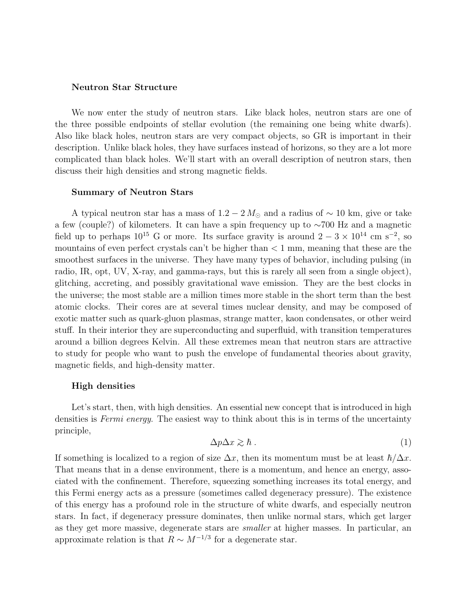## Neutron Star Structure

We now enter the study of neutron stars. Like black holes, neutron stars are one of the three possible endpoints of stellar evolution (the remaining one being white dwarfs). Also like black holes, neutron stars are very compact objects, so GR is important in their description. Unlike black holes, they have surfaces instead of horizons, so they are a lot more complicated than black holes. We'll start with an overall description of neutron stars, then discuss their high densities and strong magnetic fields.

#### Summary of Neutron Stars

A typical neutron star has a mass of  $1.2 - 2 M_{\odot}$  and a radius of ~ 10 km, give or take a few (couple?) of kilometers. It can have a spin frequency up to ∼700 Hz and a magnetic field up to perhaps  $10^{15}$  G or more. Its surface gravity is around  $2-3 \times 10^{14}$  cm s<sup>-2</sup>, so mountains of even perfect crystals can't be higher than  $< 1$  mm, meaning that these are the smoothest surfaces in the universe. They have many types of behavior, including pulsing (in radio, IR, opt, UV, X-ray, and gamma-rays, but this is rarely all seen from a single object), glitching, accreting, and possibly gravitational wave emission. They are the best clocks in the universe; the most stable are a million times more stable in the short term than the best atomic clocks. Their cores are at several times nuclear density, and may be composed of exotic matter such as quark-gluon plasmas, strange matter, kaon condensates, or other weird stuff. In their interior they are superconducting and superfluid, with transition temperatures around a billion degrees Kelvin. All these extremes mean that neutron stars are attractive to study for people who want to push the envelope of fundamental theories about gravity, magnetic fields, and high-density matter.

### High densities

Let's start, then, with high densities. An essential new concept that is introduced in high densities is *Fermi energy*. The easiest way to think about this is in terms of the uncertainty principle,

$$
\Delta p \Delta x \gtrsim \hbar \ . \tag{1}
$$

If something is localized to a region of size  $\Delta x$ , then its momentum must be at least  $\hbar/\Delta x$ . That means that in a dense environment, there is a momentum, and hence an energy, associated with the confinement. Therefore, squeezing something increases its total energy, and this Fermi energy acts as a pressure (sometimes called degeneracy pressure). The existence of this energy has a profound role in the structure of white dwarfs, and especially neutron stars. In fact, if degeneracy pressure dominates, then unlike normal stars, which get larger as they get more massive, degenerate stars are smaller at higher masses. In particular, an approximate relation is that  $R \sim M^{-1/3}$  for a degenerate star.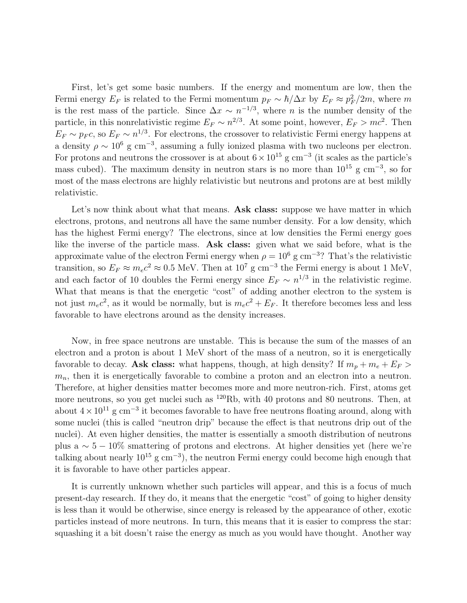First, let's get some basic numbers. If the energy and momentum are low, then the Fermi energy  $E_F$  is related to the Fermi momentum  $p_F \sim \hbar / \Delta x$  by  $E_F \approx p_F^2$  $\frac{2}{F}/2m$ , where m is the rest mass of the particle. Since  $\Delta x \sim n^{-1/3}$ , where *n* is the number density of the particle, in this nonrelativistic regime  $E_F \sim n^{2/3}$ . At some point, however,  $E_F > mc^2$ . Then  $E_F \sim p_F c$ , so  $E_F \sim n^{1/3}$ . For electrons, the crossover to relativistic Fermi energy happens at a density  $\rho \sim 10^6$  g cm<sup>-3</sup>, assuming a fully ionized plasma with two nucleons per electron. For protons and neutrons the crossover is at about  $6 \times 10^{15}$  g cm<sup>-3</sup> (it scales as the particle's mass cubed). The maximum density in neutron stars is no more than  $10^{15}$  g cm<sup>-3</sup>, so for most of the mass electrons are highly relativistic but neutrons and protons are at best mildly relativistic.

Let's now think about what that means. Ask class: suppose we have matter in which electrons, protons, and neutrons all have the same number density. For a low density, which has the highest Fermi energy? The electrons, since at low densities the Fermi energy goes like the inverse of the particle mass. Ask class: given what we said before, what is the approximate value of the electron Fermi energy when  $\rho = 10^6$  g cm<sup>-3</sup>? That's the relativistic transition, so  $E_F \approx m_e c^2 \approx 0.5$  MeV. Then at  $10^7$  g cm<sup>-3</sup> the Fermi energy is about 1 MeV, and each factor of 10 doubles the Fermi energy since  $E_F \sim n^{1/3}$  in the relativistic regime. What that means is that the energetic "cost" of adding another electron to the system is not just  $m_ec^2$ , as it would be normally, but is  $m_ec^2 + E_F$ . It therefore becomes less and less favorable to have electrons around as the density increases.

Now, in free space neutrons are unstable. This is because the sum of the masses of an electron and a proton is about 1 MeV short of the mass of a neutron, so it is energetically favorable to decay. Ask class: what happens, though, at high density? If  $m_p + m_e + E_F$  $m_n$ , then it is energetically favorable to combine a proton and an electron into a neutron. Therefore, at higher densities matter becomes more and more neutron-rich. First, atoms get more neutrons, so you get nuclei such as <sup>120</sup>Rb, with 40 protons and 80 neutrons. Then, at about  $4 \times 10^{11}$  g cm<sup>-3</sup> it becomes favorable to have free neutrons floating around, along with some nuclei (this is called "neutron drip" because the effect is that neutrons drip out of the nuclei). At even higher densities, the matter is essentially a smooth distribution of neutrons plus a  $\sim 5 - 10\%$  smattering of protons and electrons. At higher densities yet (here we're talking about nearly  $10^{15}$  g cm<sup>-3</sup>), the neutron Fermi energy could become high enough that it is favorable to have other particles appear.

It is currently unknown whether such particles will appear, and this is a focus of much present-day research. If they do, it means that the energetic "cost" of going to higher density is less than it would be otherwise, since energy is released by the appearance of other, exotic particles instead of more neutrons. In turn, this means that it is easier to compress the star: squashing it a bit doesn't raise the energy as much as you would have thought. Another way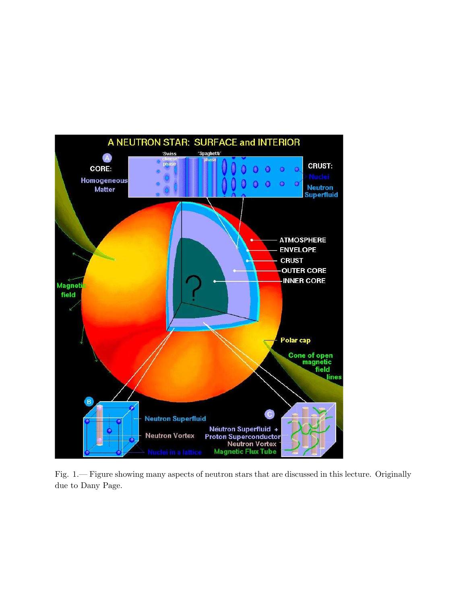

Fig. 1.— Figure showing many aspects of neutron stars that are discussed in this lecture. Originally due to Dany Page.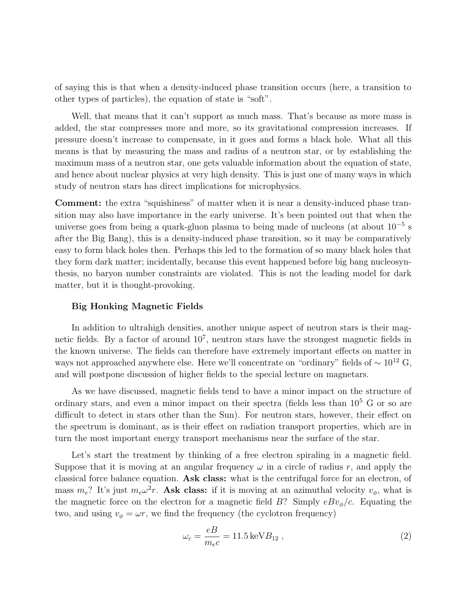of saying this is that when a density-induced phase transition occurs (here, a transition to other types of particles), the equation of state is "soft".

Well, that means that it can't support as much mass. That's because as more mass is added, the star compresses more and more, so its gravitational compression increases. If pressure doesn't increase to compensate, in it goes and forms a black hole. What all this means is that by measuring the mass and radius of a neutron star, or by establishing the maximum mass of a neutron star, one gets valuable information about the equation of state, and hence about nuclear physics at very high density. This is just one of many ways in which study of neutron stars has direct implications for microphysics.

Comment: the extra "squishiness" of matter when it is near a density-induced phase transition may also have importance in the early universe. It's been pointed out that when the universe goes from being a quark-gluon plasma to being made of nucleons (at about 10<sup>-5</sup> s after the Big Bang), this is a density-induced phase transition, so it may be comparatively easy to form black holes then. Perhaps this led to the formation of so many black holes that they form dark matter; incidentally, because this event happened before big bang nucleosynthesis, no baryon number constraints are violated. This is not the leading model for dark matter, but it is thought-provoking.

### Big Honking Magnetic Fields

In addition to ultrahigh densities, another unique aspect of neutron stars is their magnetic fields. By a factor of around  $10^7$ , neutron stars have the strongest magnetic fields in the known universe. The fields can therefore have extremely important effects on matter in ways not approached anywhere else. Here we'll concentrate on "ordinary" fields of  $\sim 10^{12}$  G, and will postpone discussion of higher fields to the special lecture on magnetars.

As we have discussed, magnetic fields tend to have a minor impact on the structure of ordinary stars, and even a minor impact on their spectra (fields less than  $10^5$  G or so are difficult to detect in stars other than the Sun). For neutron stars, however, their effect on the spectrum is dominant, as is their effect on radiation transport properties, which are in turn the most important energy transport mechanisms near the surface of the star.

Let's start the treatment by thinking of a free electron spiraling in a magnetic field. Suppose that it is moving at an angular frequency  $\omega$  in a circle of radius r, and apply the classical force balance equation. Ask class: what is the centrifugal force for an electron, of mass  $m_e$ ? It's just  $m_e\omega^2 r$ . Ask class: if it is moving at an azimuthal velocity  $v_\phi$ , what is the magnetic force on the electron for a magnetic field  $B$ ? Simply  $eBv_{\phi}/c$ . Equating the two, and using  $v_{\phi} = \omega r$ , we find the frequency (the cyclotron frequency)

$$
\omega_c = \frac{eB}{m_e c} = 11.5 \,\text{keV} B_{12} \,,\tag{2}
$$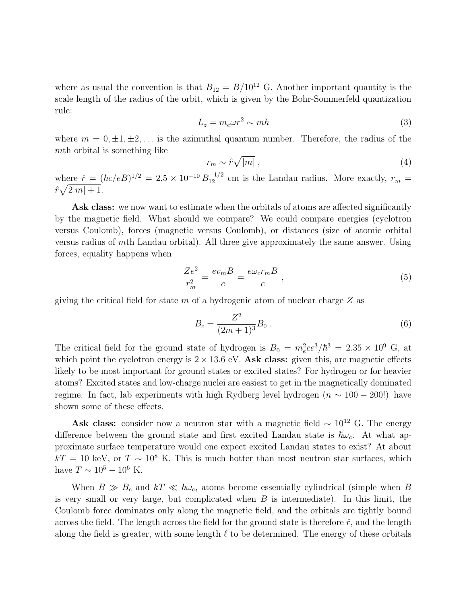where as usual the convention is that  $B_{12} = B/10^{12}$  G. Another important quantity is the scale length of the radius of the orbit, which is given by the Bohr-Sommerfeld quantization rule:

$$
L_z = m_e \omega r^2 \sim m\hbar \tag{3}
$$

where  $m = 0, \pm 1, \pm 2, \ldots$  is the azimuthal quantum number. Therefore, the radius of the mth orbital is something like

$$
r_m \sim \hat{r}\sqrt{|m|} \,,\tag{4}
$$

where  $\hat{r} = (\hbar c/eB)^{1/2} = 2.5 \times 10^{-10} B_{12}^{-1/2}$  cm is the Landau radius. More exactly,  $r_m =$  $\hat{r}\sqrt{2|m|+1}.$ 

Ask class: we now want to estimate when the orbitals of atoms are affected significantly by the magnetic field. What should we compare? We could compare energies (cyclotron versus Coulomb), forces (magnetic versus Coulomb), or distances (size of atomic orbital versus radius of mth Landau orbital). All three give approximately the same answer. Using forces, equality happens when

$$
\frac{Ze^2}{r_m^2} = \frac{ev_m B}{c} = \frac{e\omega_c r_m B}{c} \,,\tag{5}
$$

giving the critical field for state m of a hydrogenic atom of nuclear charge  $Z$  as

$$
B_c = \frac{Z^2}{(2m+1)^3} B_0 \ . \tag{6}
$$

The critical field for the ground state of hydrogen is  $B_0 = m_e^2 c e^3 / \hbar^3 = 2.35 \times 10^9$  G, at which point the cyclotron energy is  $2 \times 13.6$  eV. Ask class: given this, are magnetic effects likely to be most important for ground states or excited states? For hydrogen or for heavier atoms? Excited states and low-charge nuclei are easiest to get in the magnetically dominated regime. In fact, lab experiments with high Rydberg level hydrogen  $(n \sim 100 - 200!)$  have shown some of these effects.

Ask class: consider now a neutron star with a magnetic field  $\sim 10^{12}$  G. The energy difference between the ground state and first excited Landau state is  $\hbar\omega_c$ . At what approximate surface temperature would one expect excited Landau states to exist? At about  $kT = 10$  keV, or  $T \sim 10^8$  K. This is much hotter than most neutron star surfaces, which have  $T \sim 10^5 - 10^6$  K.

When  $B \gg B_c$  and  $kT \ll \hbar \omega_c$ , atoms become essentially cylindrical (simple when B is very small or very large, but complicated when  $B$  is intermediate). In this limit, the Coulomb force dominates only along the magnetic field, and the orbitals are tightly bound across the field. The length across the field for the ground state is therefore  $\hat{r}$ , and the length along the field is greater, with some length  $\ell$  to be determined. The energy of these orbitals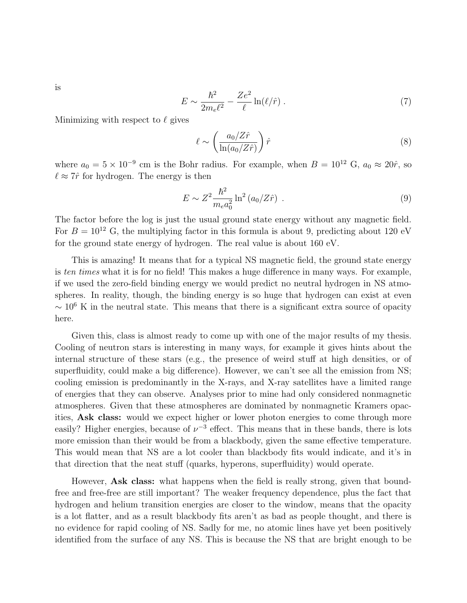is

$$
E \sim \frac{\hbar^2}{2m_e\ell^2} - \frac{Ze^2}{\ell} \ln(\ell/\hat{r}) \,. \tag{7}
$$

Minimizing with respect to  $\ell$  gives

$$
\ell \sim \left(\frac{a_0/Z\hat{r}}{\ln(a_0/Z\hat{r})}\right)\hat{r}
$$
\n(8)

where  $a_0 = 5 \times 10^{-9}$  cm is the Bohr radius. For example, when  $B = 10^{12}$  G,  $a_0 \approx 20\hat{r}$ , so  $\ell \approx 7\hat r$  for hydrogen. The energy is then

$$
E \sim Z^2 \frac{\hbar^2}{m_e a_0^2} \ln^2 (a_0/Z\hat{r}) \ . \tag{9}
$$

The factor before the log is just the usual ground state energy without any magnetic field. For  $B = 10^{12}$  G, the multiplying factor in this formula is about 9, predicting about 120 eV for the ground state energy of hydrogen. The real value is about 160 eV.

This is amazing! It means that for a typical NS magnetic field, the ground state energy is ten times what it is for no field! This makes a huge difference in many ways. For example, if we used the zero-field binding energy we would predict no neutral hydrogen in NS atmospheres. In reality, though, the binding energy is so huge that hydrogen can exist at even  $\sim 10^6$  K in the neutral state. This means that there is a significant extra source of opacity here.

Given this, class is almost ready to come up with one of the major results of my thesis. Cooling of neutron stars is interesting in many ways, for example it gives hints about the internal structure of these stars (e.g., the presence of weird stuff at high densities, or of superfluidity, could make a big difference). However, we can't see all the emission from NS; cooling emission is predominantly in the X-rays, and X-ray satellites have a limited range of energies that they can observe. Analyses prior to mine had only considered nonmagnetic atmospheres. Given that these atmospheres are dominated by nonmagnetic Kramers opacities, Ask class: would we expect higher or lower photon energies to come through more easily? Higher energies, because of  $\nu^{-3}$  effect. This means that in these bands, there is lots more emission than their would be from a blackbody, given the same effective temperature. This would mean that NS are a lot cooler than blackbody fits would indicate, and it's in that direction that the neat stuff (quarks, hyperons, superfluidity) would operate.

However, **Ask class:** what happens when the field is really strong, given that boundfree and free-free are still important? The weaker frequency dependence, plus the fact that hydrogen and helium transition energies are closer to the window, means that the opacity is a lot flatter, and as a result blackbody fits aren't as bad as people thought, and there is no evidence for rapid cooling of NS. Sadly for me, no atomic lines have yet been positively identified from the surface of any NS. This is because the NS that are bright enough to be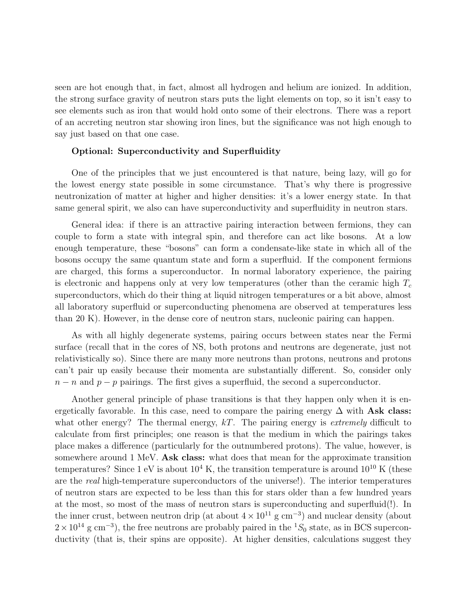seen are hot enough that, in fact, almost all hydrogen and helium are ionized. In addition, the strong surface gravity of neutron stars puts the light elements on top, so it isn't easy to see elements such as iron that would hold onto some of their electrons. There was a report of an accreting neutron star showing iron lines, but the significance was not high enough to say just based on that one case.

### Optional: Superconductivity and Superfluidity

One of the principles that we just encountered is that nature, being lazy, will go for the lowest energy state possible in some circumstance. That's why there is progressive neutronization of matter at higher and higher densities: it's a lower energy state. In that same general spirit, we also can have superconductivity and superfluidity in neutron stars.

General idea: if there is an attractive pairing interaction between fermions, they can couple to form a state with integral spin, and therefore can act like bosons. At a low enough temperature, these "bosons" can form a condensate-like state in which all of the bosons occupy the same quantum state and form a superfluid. If the component fermions are charged, this forms a superconductor. In normal laboratory experience, the pairing is electronic and happens only at very low temperatures (other than the ceramic high  $T_c$ superconductors, which do their thing at liquid nitrogen temperatures or a bit above, almost all laboratory superfluid or superconducting phenomena are observed at temperatures less than 20 K). However, in the dense core of neutron stars, nucleonic pairing can happen.

As with all highly degenerate systems, pairing occurs between states near the Fermi surface (recall that in the cores of NS, both protons and neutrons are degenerate, just not relativistically so). Since there are many more neutrons than protons, neutrons and protons can't pair up easily because their momenta are substantially different. So, consider only  $n - n$  and  $p - p$  pairings. The first gives a superfluid, the second a superconductor.

Another general principle of phase transitions is that they happen only when it is energetically favorable. In this case, need to compare the pairing energy  $\Delta$  with Ask class: what other energy? The thermal energy,  $kT$ . The pairing energy is *extremely* difficult to calculate from first principles; one reason is that the medium in which the pairings takes place makes a difference (particularly for the outnumbered protons). The value, however, is somewhere around 1 MeV. Ask class: what does that mean for the approximate transition temperatures? Since 1 eV is about  $10^4$  K, the transition temperature is around  $10^{10}$  K (these are the real high-temperature superconductors of the universe!). The interior temperatures of neutron stars are expected to be less than this for stars older than a few hundred years at the most, so most of the mass of neutron stars is superconducting and superfluid(!). In the inner crust, between neutron drip (at about  $4 \times 10^{11}$  g cm<sup>-3</sup>) and nuclear density (about  $2 \times 10^{14}$  g cm<sup>-3</sup>), the free neutrons are probably paired in the <sup>1</sup>S<sub>0</sub> state, as in BCS superconductivity (that is, their spins are opposite). At higher densities, calculations suggest they